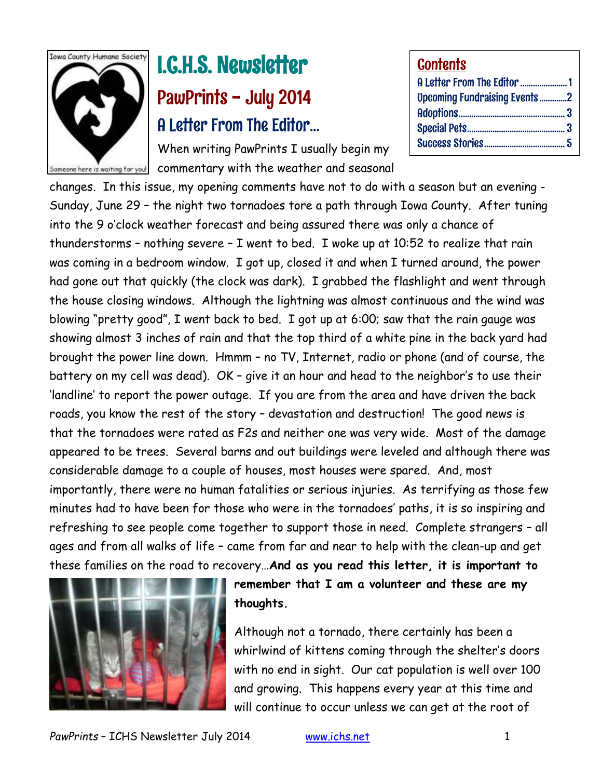

# I.C.H.S. Newsletter PawPrints - July 2014 A Letter From The Editor…

When writing PawPrints I usually begin my Sameone here is waiting for you! commentary with the weather and seasonal

| <b>Contents</b>                     |  |
|-------------------------------------|--|
| A Letter From The Editor 1          |  |
| <b>Upcoming Fundraising Events2</b> |  |
|                                     |  |
|                                     |  |
|                                     |  |

changes. In this issue, my opening comments have not to do with a season but an evening - Sunday, June 29 – the night two tornadoes tore a path through Iowa County. After tuning into the 9 o'clock weather forecast and being assured there was only a chance of thunderstorms – nothing severe – I went to bed. I woke up at 10:52 to realize that rain was coming in a bedroom window. I got up, closed it and when I turned around, the power had gone out that quickly (the clock was dark). I grabbed the flashlight and went through the house closing windows. Although the lightning was almost continuous and the wind was blowing "pretty good", I went back to bed. I got up at 6:00; saw that the rain gauge was showing almost 3 inches of rain and that the top third of a white pine in the back yard had brought the power line down. Hmmm – no TV, Internet, radio or phone (and of course, the battery on my cell was dead). OK – give it an hour and head to the neighbor's to use their 'landline' to report the power outage. If you are from the area and have driven the back roads, you know the rest of the story – devastation and destruction! The good news is that the tornadoes were rated as F2s and neither one was very wide. Most of the damage appeared to be trees. Several barns and out buildings were leveled and although there was considerable damage to a couple of houses, most houses were spared. And, most importantly, there were no human fatalities or serious injuries. As terrifying as those few minutes had to have been for those who were in the tornadoes' paths, it is so inspiring and refreshing to see people come together to support those in need. Complete strangers – all ages and from all walks of life – came from far and near to help with the clean-up and get these families on the road to recovery…**And as you read this letter, it is important to** 



**remember that I am a volunteer and these are my thoughts.**

Although not a tornado, there certainly has been a whirlwind of kittens coming through the shelter's doors with no end in sight. Our cat population is well over 100 and growing. This happens every year at this time and will continue to occur unless we can get at the root of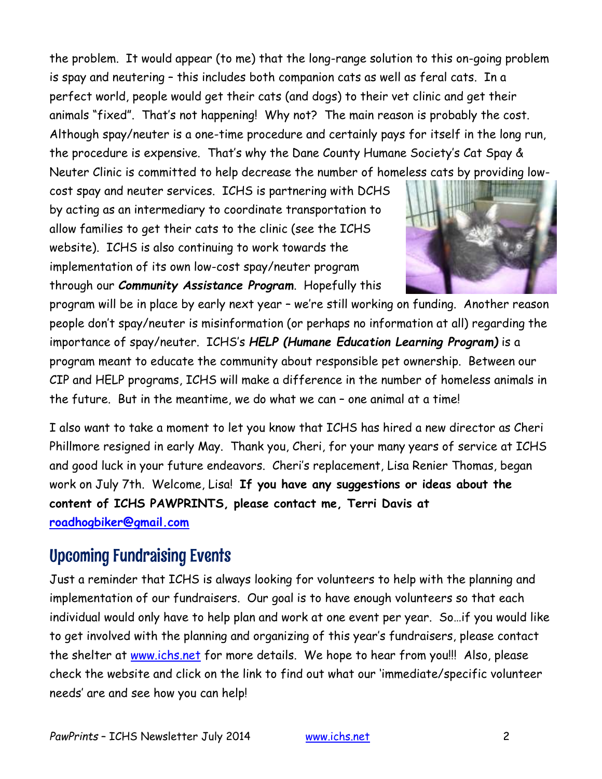the problem. It would appear (to me) that the long-range solution to this on-going problem is spay and neutering – this includes both companion cats as well as feral cats. In a perfect world, people would get their cats (and dogs) to their vet clinic and get their animals "fixed". That's not happening! Why not? The main reason is probably the cost. Although spay/neuter is a one-time procedure and certainly pays for itself in the long run, the procedure is expensive. That's why the Dane County Humane Society's Cat Spay & Neuter Clinic is committed to help decrease the number of homeless cats by providing low-

cost spay and neuter services. ICHS is partnering with DCHS by acting as an intermediary to coordinate transportation to allow families to get their cats to the clinic (see the ICHS website). ICHS is also continuing to work towards the implementation of its own low-cost spay/neuter program through our *Community Assistance Program*. Hopefully this



program will be in place by early next year – we're still working on funding. Another reason people don't spay/neuter is misinformation (or perhaps no information at all) regarding the importance of spay/neuter. ICHS's *HELP (Humane Education Learning Program)* is a program meant to educate the community about responsible pet ownership. Between our CIP and HELP programs, ICHS will make a difference in the number of homeless animals in the future. But in the meantime, we do what we can – one animal at a time!

I also want to take a moment to let you know that ICHS has hired a new director as Cheri Phillmore resigned in early May. Thank you, Cheri, for your many years of service at ICHS and good luck in your future endeavors. Cheri's replacement, Lisa Renier Thomas, began work on July 7th. Welcome, Lisa! **If you have any suggestions or ideas about the content of ICHS PAWPRINTS, please contact me, Terri Davis at [roadhogbiker@gmail.com](mailto:roadhogbiker@gmail.com)** 

# Upcoming Fundraising Events

Just a reminder that ICHS is always looking for volunteers to help with the planning and implementation of our fundraisers. Our goal is to have enough volunteers so that each individual would only have to help plan and work at one event per year. So…if you would like to get involved with the planning and organizing of this year's fundraisers, please contact the shelter at [www.ichs.net](http://www.ichs.net/) for more details. We hope to hear from you!!! Also, please check the website and click on the link to find out what our 'immediate/specific volunteer needs' are and see how you can help!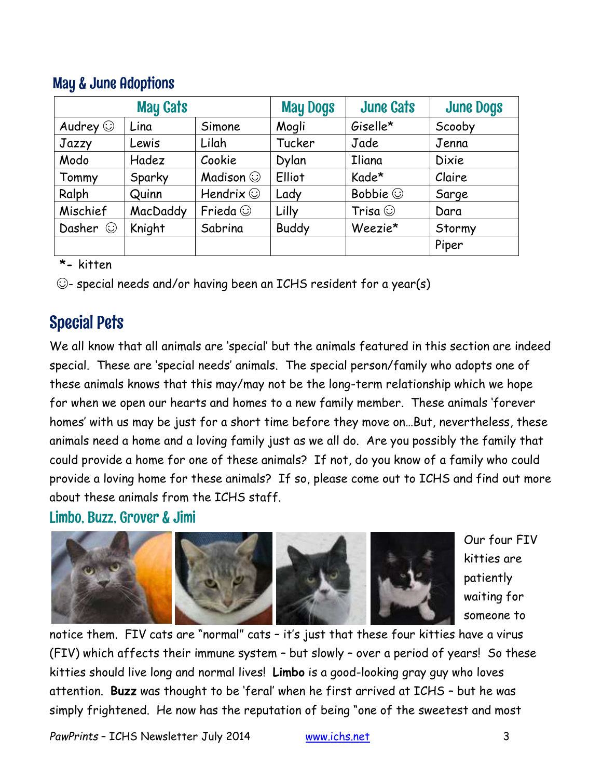| <b>May Cats</b> |          |                 | <b>May Dogs</b> | <b>June Cats</b> | <b>June Dogs</b> |
|-----------------|----------|-----------------|-----------------|------------------|------------------|
| Audrey $\odot$  | Lina     | Simone          | Mogli           | Giselle*         | Scooby           |
| Jazzy           | Lewis    | Lilah           | Tucker          | Jade             | Jenna            |
| Modo            | Hadez    | Cookie          | Dylan           | <b>Iliana</b>    | <b>Dixie</b>     |
| Tommy           | Sparky   | Madison $\odot$ | Elliot          | Kade*            | Claire           |
| Ralph           | Quinn    | Hendrix $\odot$ | Lady            | Bobbie $\odot$   | Sarge            |
| Mischief        | MacDaddy | Frieda $\odot$  | Lilly           | Trisa $\odot$    | Dara             |
| Dasher $\odot$  | Knight   | Sabrina         | <b>Buddy</b>    | Weezie*          | Stormy           |
|                 |          |                 |                 |                  | Piper            |

## May & June Adoptions

 **\*-** kitten

☺- special needs and/or having been an ICHS resident for a year(s)

# Special Pets

We all know that all animals are 'special' but the animals featured in this section are indeed special. These are 'special needs' animals. The special person/family who adopts one of these animals knows that this may/may not be the long-term relationship which we hope for when we open our hearts and homes to a new family member. These animals 'forever homes' with us may be just for a short time before they move on…But, nevertheless, these animals need a home and a loving family just as we all do. Are you possibly the family that could provide a home for one of these animals? If not, do you know of a family who could provide a loving home for these animals? If so, please come out to ICHS and find out more about these animals from the ICHS staff.

Limbo, Buzz, Grover & Jimi



Our four FIV kitties are patiently waiting for someone to

notice them. FIV cats are "normal" cats – it's just that these four kitties have a virus (FIV) which affects their immune system – but slowly – over a period of years! So these kitties should live long and normal lives! **Limbo** is a good-looking gray guy who loves attention. **Buzz** was thought to be 'feral' when he first arrived at ICHS – but he was simply frightened. He now has the reputation of being "one of the sweetest and most

*PawPrints* – ICHS Newsletter July 2014 [www.ichs.net](http://www.ichs.net/) 3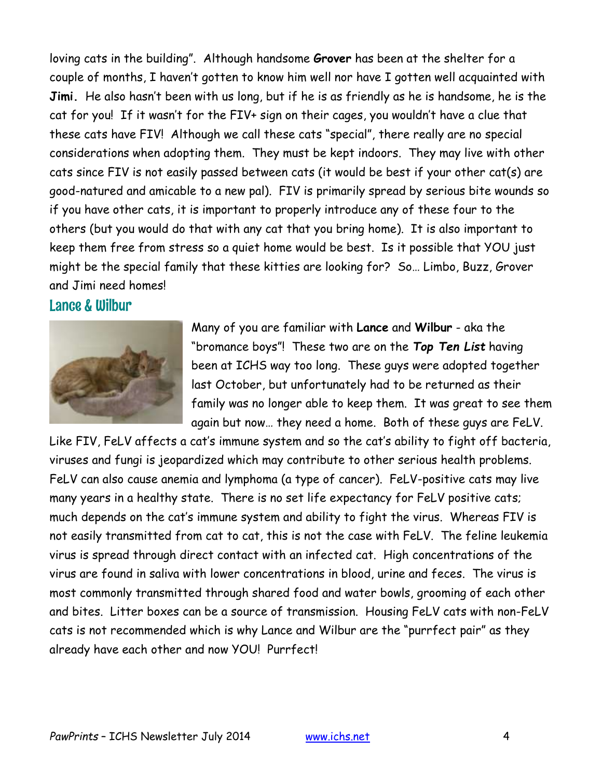loving cats in the building". Although handsome **Grover** has been at the shelter for a couple of months, I haven't gotten to know him well nor have I gotten well acquainted with **Jimi.** He also hasn't been with us long, but if he is as friendly as he is handsome, he is the cat for you! If it wasn't for the FIV+ sign on their cages, you wouldn't have a clue that these cats have FIV! Although we call these cats "special", there really are no special considerations when adopting them. They must be kept indoors. They may live with other cats since FIV is not easily passed between cats (it would be best if your other cat(s) are good-natured and amicable to a new pal). FIV is primarily spread by serious bite wounds so if you have other cats, it is important to properly introduce any of these four to the others (but you would do that with any cat that you bring home). It is also important to keep them free from stress so a quiet home would be best. Is it possible that YOU just might be the special family that these kitties are looking for? So… Limbo, Buzz, Grover and Jimi need homes!

#### Lance & Wilbur



Many of you are familiar with **Lance** and **Wilbur** - aka the "bromance boys"! These two are on the *Top Ten List* having been at ICHS way too long. These guys were adopted together last October, but unfortunately had to be returned as their family was no longer able to keep them. It was great to see them again but now… they need a home. Both of these guys are FeLV.

Like FIV, FeLV affects a cat's immune system and so the cat's ability to fight off bacteria, viruses and fungi is jeopardized which may contribute to other serious health problems. FeLV can also cause anemia and lymphoma (a type of cancer). FeLV-positive cats may live many years in a healthy state. There is no set life expectancy for FeLV positive cats; much depends on the cat's immune system and ability to fight the virus. Whereas FIV is not easily transmitted from cat to cat, this is not the case with FeLV. The feline leukemia virus is spread through direct contact with an infected cat. High concentrations of the virus are found in saliva with lower concentrations in blood, urine and feces. The virus is most commonly transmitted through shared food and water bowls, grooming of each other and bites. Litter boxes can be a source of transmission. Housing FeLV cats with non-FeLV cats is not recommended which is why Lance and Wilbur are the "purrfect pair" as they already have each other and now YOU! Purrfect!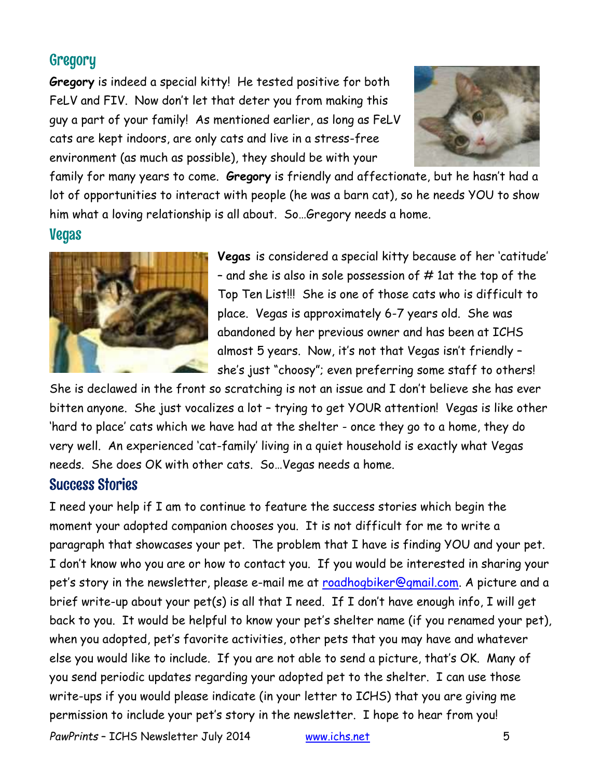## **Gregory**

**Gregory** is indeed a special kitty! He tested positive for both FeLV and FIV. Now don't let that deter you from making this guy a part of your family! As mentioned earlier, as long as FeLV cats are kept indoors, are only cats and live in a stress-free environment (as much as possible), they should be with your



family for many years to come. **Gregory** is friendly and affectionate, but he hasn't had a lot of opportunities to interact with people (he was a barn cat), so he needs YOU to show him what a loving relationship is all about. So…Gregory needs a home.

#### Vegas



**Vegas** is considered a special kitty because of her 'catitude' - and she is also in sole possession of  $#$  1at the top of the Top Ten List!!! She is one of those cats who is difficult to place. Vegas is approximately 6-7 years old. She was abandoned by her previous owner and has been at ICHS almost 5 years. Now, it's not that Vegas isn't friendly – she's just "choosy"; even preferring some staff to others!

She is declawed in the front so scratching is not an issue and I don't believe she has ever bitten anyone. She just vocalizes a lot – trying to get YOUR attention! Vegas is like other 'hard to place' cats which we have had at the shelter - once they go to a home, they do very well. An experienced 'cat-family' living in a quiet household is exactly what Vegas needs. She does OK with other cats. So…Vegas needs a home.

### Success Stories

I need your help if I am to continue to feature the success stories which begin the moment your adopted companion chooses you. It is not difficult for me to write a paragraph that showcases your pet. The problem that I have is finding YOU and your pet. I don't know who you are or how to contact you. If you would be interested in sharing your pet's story in the newsletter, please e-mail me at [roadhogbiker@gmail.com.](mailto:roadhogbiker@gmail.com) A picture and a brief write-up about your pet(s) is all that I need. If I don't have enough info, I will get back to you. It would be helpful to know your pet's shelter name (if you renamed your pet), when you adopted, pet's favorite activities, other pets that you may have and whatever else you would like to include. If you are not able to send a picture, that's OK. Many of you send periodic updates regarding your adopted pet to the shelter. I can use those write-ups if you would please indicate (in your letter to ICHS) that you are giving me permission to include your pet's story in the newsletter. I hope to hear from you!

*PawPrints* – ICHS Newsletter July 2014 [www.ichs.net](http://www.ichs.net/) 5